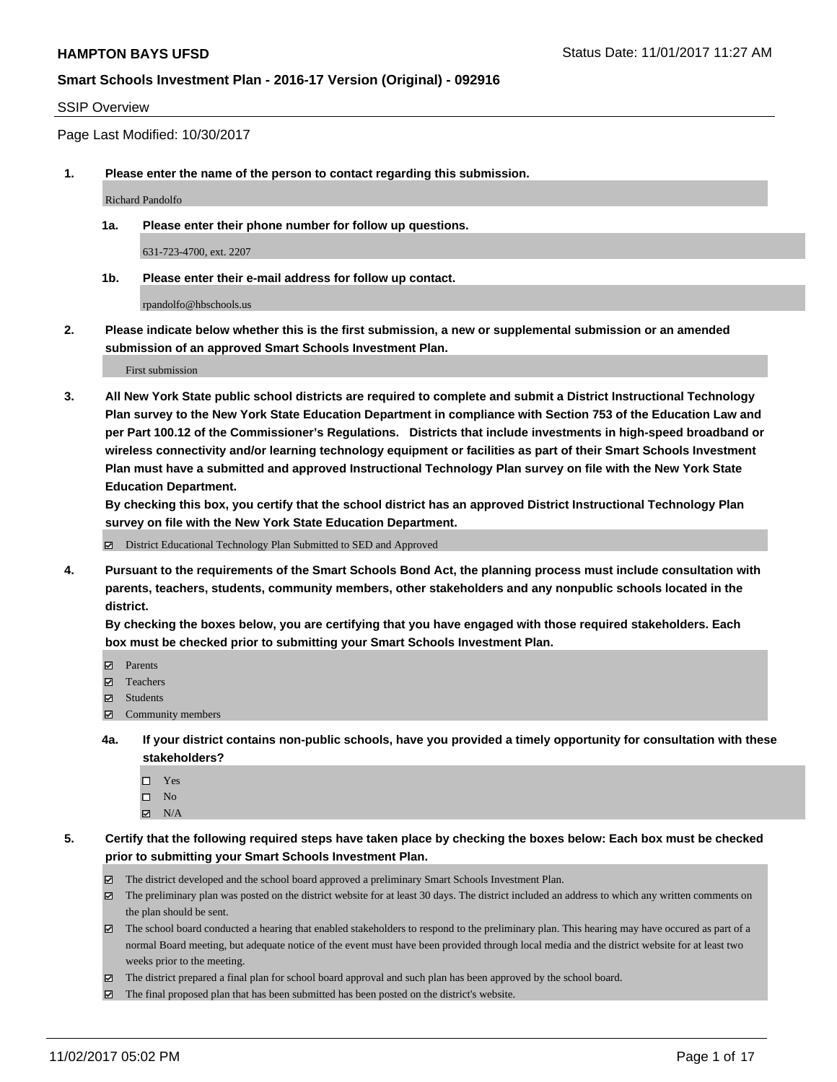#### SSIP Overview

Page Last Modified: 10/30/2017

**1. Please enter the name of the person to contact regarding this submission.**

Richard Pandolfo

**1a. Please enter their phone number for follow up questions.**

631-723-4700, ext. 2207

**1b. Please enter their e-mail address for follow up contact.**

rpandolfo@hbschools.us

**2. Please indicate below whether this is the first submission, a new or supplemental submission or an amended submission of an approved Smart Schools Investment Plan.**

First submission

**3. All New York State public school districts are required to complete and submit a District Instructional Technology Plan survey to the New York State Education Department in compliance with Section 753 of the Education Law and per Part 100.12 of the Commissioner's Regulations. Districts that include investments in high-speed broadband or wireless connectivity and/or learning technology equipment or facilities as part of their Smart Schools Investment Plan must have a submitted and approved Instructional Technology Plan survey on file with the New York State Education Department.** 

**By checking this box, you certify that the school district has an approved District Instructional Technology Plan survey on file with the New York State Education Department.**

District Educational Technology Plan Submitted to SED and Approved

**4. Pursuant to the requirements of the Smart Schools Bond Act, the planning process must include consultation with parents, teachers, students, community members, other stakeholders and any nonpublic schools located in the district.** 

**By checking the boxes below, you are certifying that you have engaged with those required stakeholders. Each box must be checked prior to submitting your Smart Schools Investment Plan.**

- **マ** Parents
- Teachers
- **☑** Students
- $\Xi$  Community members
- **4a. If your district contains non-public schools, have you provided a timely opportunity for consultation with these stakeholders?**
	- □ Yes
	- $\square$  No
	- $\boxtimes$  N/A
- **5. Certify that the following required steps have taken place by checking the boxes below: Each box must be checked prior to submitting your Smart Schools Investment Plan.**
	- The district developed and the school board approved a preliminary Smart Schools Investment Plan.
	- The preliminary plan was posted on the district website for at least 30 days. The district included an address to which any written comments on the plan should be sent.
	- The school board conducted a hearing that enabled stakeholders to respond to the preliminary plan. This hearing may have occured as part of a normal Board meeting, but adequate notice of the event must have been provided through local media and the district website for at least two weeks prior to the meeting.
	- The district prepared a final plan for school board approval and such plan has been approved by the school board.
	- $\boxtimes$  The final proposed plan that has been submitted has been posted on the district's website.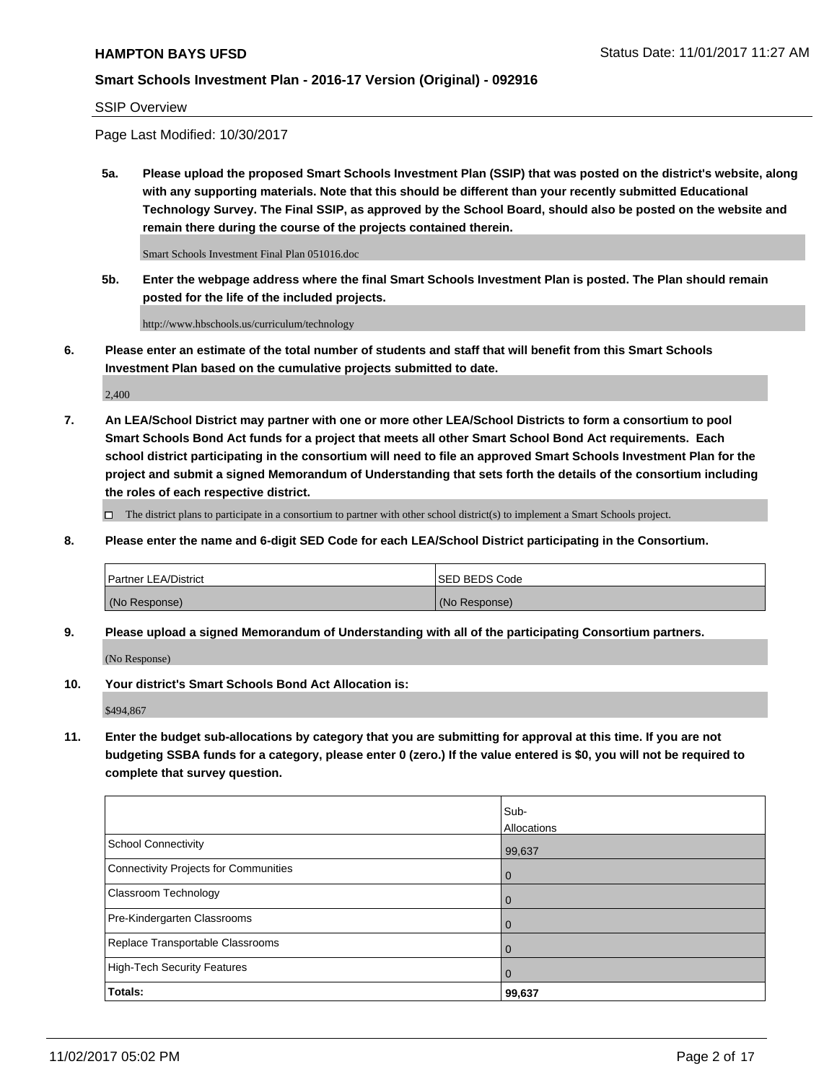#### SSIP Overview

Page Last Modified: 10/30/2017

**5a. Please upload the proposed Smart Schools Investment Plan (SSIP) that was posted on the district's website, along with any supporting materials. Note that this should be different than your recently submitted Educational Technology Survey. The Final SSIP, as approved by the School Board, should also be posted on the website and remain there during the course of the projects contained therein.**

Smart Schools Investment Final Plan 051016.doc

**5b. Enter the webpage address where the final Smart Schools Investment Plan is posted. The Plan should remain posted for the life of the included projects.**

http://www.hbschools.us/curriculum/technology

**6. Please enter an estimate of the total number of students and staff that will benefit from this Smart Schools Investment Plan based on the cumulative projects submitted to date.**

2,400

**7. An LEA/School District may partner with one or more other LEA/School Districts to form a consortium to pool Smart Schools Bond Act funds for a project that meets all other Smart School Bond Act requirements. Each school district participating in the consortium will need to file an approved Smart Schools Investment Plan for the project and submit a signed Memorandum of Understanding that sets forth the details of the consortium including the roles of each respective district.**

 $\Box$  The district plans to participate in a consortium to partner with other school district(s) to implement a Smart Schools project.

**8. Please enter the name and 6-digit SED Code for each LEA/School District participating in the Consortium.**

| <b>Partner LEA/District</b> | <b>ISED BEDS Code</b> |
|-----------------------------|-----------------------|
| (No Response)               | (No Response)         |

**9. Please upload a signed Memorandum of Understanding with all of the participating Consortium partners.**

(No Response)

**10. Your district's Smart Schools Bond Act Allocation is:**

\$494,867

**11. Enter the budget sub-allocations by category that you are submitting for approval at this time. If you are not budgeting SSBA funds for a category, please enter 0 (zero.) If the value entered is \$0, you will not be required to complete that survey question.**

|                                              | Sub-           |
|----------------------------------------------|----------------|
|                                              | Allocations    |
| <b>School Connectivity</b>                   | 99,637         |
| <b>Connectivity Projects for Communities</b> | 0              |
| Classroom Technology                         | $\overline{0}$ |
| Pre-Kindergarten Classrooms                  | $\overline{0}$ |
| Replace Transportable Classrooms             | 0              |
| <b>High-Tech Security Features</b>           | $\overline{0}$ |
| Totals:                                      | 99,637         |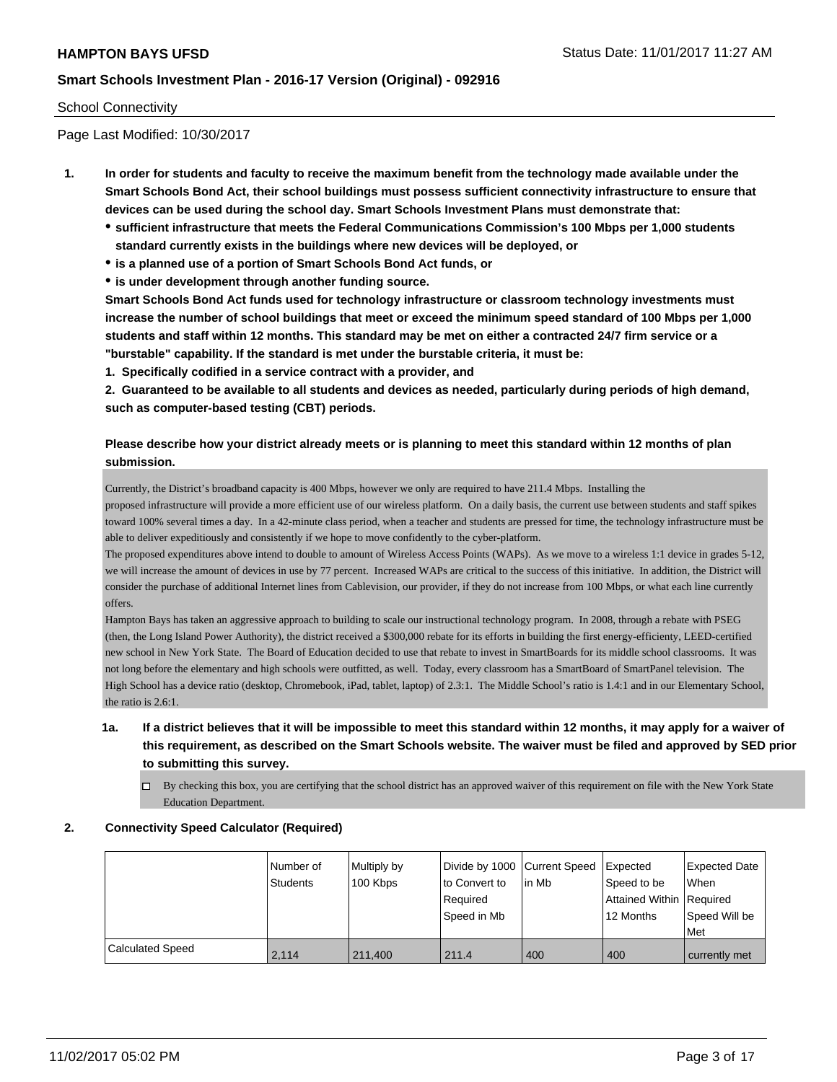#### School Connectivity

Page Last Modified: 10/30/2017

- **1. In order for students and faculty to receive the maximum benefit from the technology made available under the Smart Schools Bond Act, their school buildings must possess sufficient connectivity infrastructure to ensure that devices can be used during the school day. Smart Schools Investment Plans must demonstrate that:**
	- **sufficient infrastructure that meets the Federal Communications Commission's 100 Mbps per 1,000 students standard currently exists in the buildings where new devices will be deployed, or**
	- **is a planned use of a portion of Smart Schools Bond Act funds, or**
	- **is under development through another funding source.**

**Smart Schools Bond Act funds used for technology infrastructure or classroom technology investments must increase the number of school buildings that meet or exceed the minimum speed standard of 100 Mbps per 1,000 students and staff within 12 months. This standard may be met on either a contracted 24/7 firm service or a "burstable" capability. If the standard is met under the burstable criteria, it must be:**

**1. Specifically codified in a service contract with a provider, and**

**2. Guaranteed to be available to all students and devices as needed, particularly during periods of high demand, such as computer-based testing (CBT) periods.**

## **Please describe how your district already meets or is planning to meet this standard within 12 months of plan submission.**

Currently, the District's broadband capacity is 400 Mbps, however we only are required to have 211.4 Mbps. Installing the proposed infrastructure will provide a more efficient use of our wireless platform. On a daily basis, the current use between students and staff spikes toward 100% several times a day. In a 42-minute class period, when a teacher and students are pressed for time, the technology infrastructure must be able to deliver expeditiously and consistently if we hope to move confidently to the cyber-platform.

The proposed expenditures above intend to double to amount of Wireless Access Points (WAPs). As we move to a wireless 1:1 device in grades 5-12, we will increase the amount of devices in use by 77 percent. Increased WAPs are critical to the success of this initiative. In addition, the District will consider the purchase of additional Internet lines from Cablevision, our provider, if they do not increase from 100 Mbps, or what each line currently offers.

Hampton Bays has taken an aggressive approach to building to scale our instructional technology program. In 2008, through a rebate with PSEG (then, the Long Island Power Authority), the district received a \$300,000 rebate for its efforts in building the first energy-efficienty, LEED-certified new school in New York State. The Board of Education decided to use that rebate to invest in SmartBoards for its middle school classrooms. It was not long before the elementary and high schools were outfitted, as well. Today, every classroom has a SmartBoard of SmartPanel television. The High School has a device ratio (desktop, Chromebook, iPad, tablet, laptop) of 2.3:1. The Middle School's ratio is 1.4:1 and in our Elementary School, the ratio is 2.6:1.

- **1a. If a district believes that it will be impossible to meet this standard within 12 months, it may apply for a waiver of this requirement, as described on the Smart Schools website. The waiver must be filed and approved by SED prior to submitting this survey.**
	- $\Box$  By checking this box, you are certifying that the school district has an approved waiver of this requirement on file with the New York State Education Department.

### **2. Connectivity Speed Calculator (Required)**

|                         | Number of<br>Students | Multiply by<br>100 Kbps | Divide by 1000 Current Speed<br>to Convert to<br>Required<br>Speed in Mb | lin Mb | <b>Expected</b><br>Speed to be<br>Attained Within Required<br>12 Months | <b>Expected Date</b><br><b>When</b><br>Speed Will be<br>Met |
|-------------------------|-----------------------|-------------------------|--------------------------------------------------------------------------|--------|-------------------------------------------------------------------------|-------------------------------------------------------------|
| <b>Calculated Speed</b> | 2.114                 | 211,400                 | 211.4                                                                    | 400    | 400                                                                     | currently met                                               |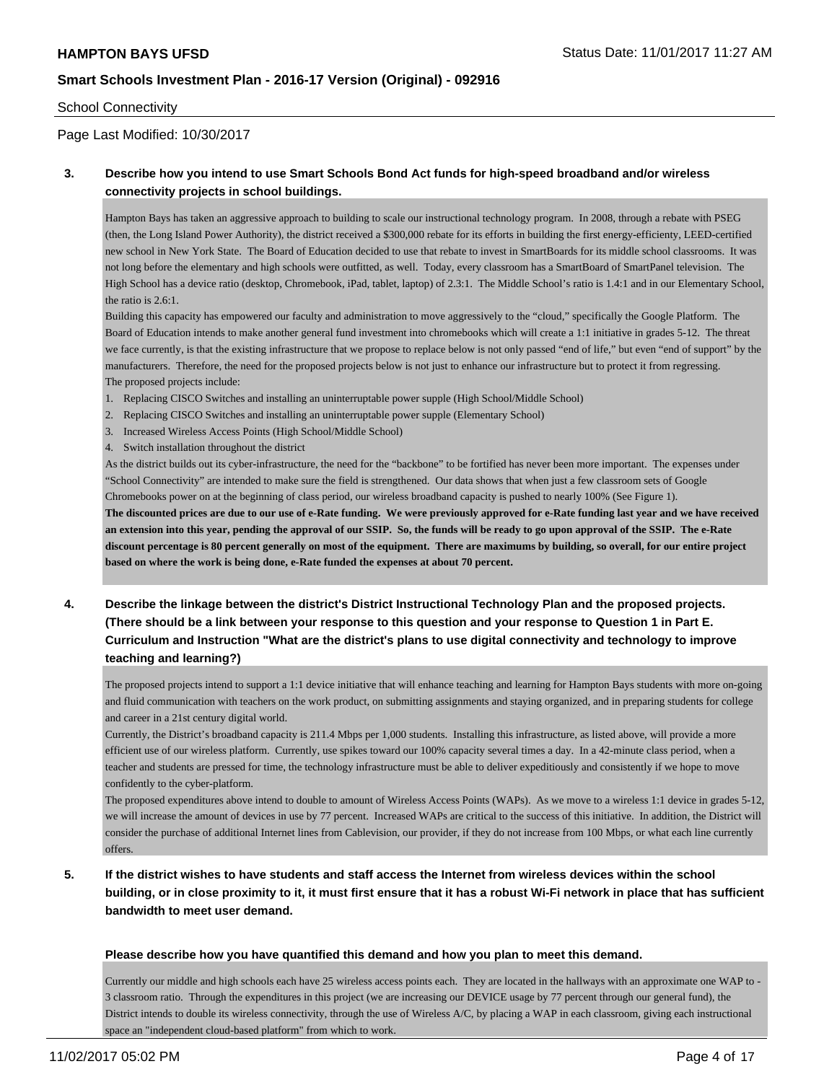#### School Connectivity

#### Page Last Modified: 10/30/2017

### **3. Describe how you intend to use Smart Schools Bond Act funds for high-speed broadband and/or wireless connectivity projects in school buildings.**

Hampton Bays has taken an aggressive approach to building to scale our instructional technology program. In 2008, through a rebate with PSEG (then, the Long Island Power Authority), the district received a \$300,000 rebate for its efforts in building the first energy-efficienty, LEED-certified new school in New York State. The Board of Education decided to use that rebate to invest in SmartBoards for its middle school classrooms. It was not long before the elementary and high schools were outfitted, as well. Today, every classroom has a SmartBoard of SmartPanel television. The High School has a device ratio (desktop, Chromebook, iPad, tablet, laptop) of 2.3:1. The Middle School's ratio is 1.4:1 and in our Elementary School, the ratio is 2.6:1.

Building this capacity has empowered our faculty and administration to move aggressively to the "cloud," specifically the Google Platform. The Board of Education intends to make another general fund investment into chromebooks which will create a 1:1 initiative in grades 5-12. The threat we face currently, is that the existing infrastructure that we propose to replace below is not only passed "end of life," but even "end of support" by the manufacturers. Therefore, the need for the proposed projects below is not just to enhance our infrastructure but to protect it from regressing. The proposed projects include:

- 1. Replacing CISCO Switches and installing an uninterruptable power supple (High School/Middle School)
- 2. Replacing CISCO Switches and installing an uninterruptable power supple (Elementary School)
- 3. Increased Wireless Access Points (High School/Middle School)
- 4. Switch installation throughout the district

As the district builds out its cyber-infrastructure, the need for the "backbone" to be fortified has never been more important. The expenses under "School Connectivity" are intended to make sure the field is strengthened. Our data shows that when just a few classroom sets of Google Chromebooks power on at the beginning of class period, our wireless broadband capacity is pushed to nearly 100% (See Figure 1).

**The discounted prices are due to our use of e-Rate funding. We were previously approved for e-Rate funding last year and we have received an extension into this year, pending the approval of our SSIP. So, the funds will be ready to go upon approval of the SSIP. The e-Rate discount percentage is 80 percent generally on most of the equipment. There are maximums by building, so overall, for our entire project based on where the work is being done, e-Rate funded the expenses at about 70 percent.**

**4. Describe the linkage between the district's District Instructional Technology Plan and the proposed projects. (There should be a link between your response to this question and your response to Question 1 in Part E. Curriculum and Instruction "What are the district's plans to use digital connectivity and technology to improve teaching and learning?)**

The proposed projects intend to support a 1:1 device initiative that will enhance teaching and learning for Hampton Bays students with more on-going and fluid communication with teachers on the work product, on submitting assignments and staying organized, and in preparing students for college and career in a 21st century digital world.

Currently, the District's broadband capacity is 211.4 Mbps per 1,000 students. Installing this infrastructure, as listed above, will provide a more efficient use of our wireless platform. Currently, use spikes toward our 100% capacity several times a day. In a 42-minute class period, when a teacher and students are pressed for time, the technology infrastructure must be able to deliver expeditiously and consistently if we hope to move confidently to the cyber-platform.

The proposed expenditures above intend to double to amount of Wireless Access Points (WAPs). As we move to a wireless 1:1 device in grades 5-12, we will increase the amount of devices in use by 77 percent. Increased WAPs are critical to the success of this initiative. In addition, the District will consider the purchase of additional Internet lines from Cablevision, our provider, if they do not increase from 100 Mbps, or what each line currently offers.

# **5. If the district wishes to have students and staff access the Internet from wireless devices within the school building, or in close proximity to it, it must first ensure that it has a robust Wi-Fi network in place that has sufficient bandwidth to meet user demand.**

#### **Please describe how you have quantified this demand and how you plan to meet this demand.**

Currently our middle and high schools each have 25 wireless access points each. They are located in the hallways with an approximate one WAP to - 3 classroom ratio. Through the expenditures in this project (we are increasing our DEVICE usage by 77 percent through our general fund), the District intends to double its wireless connectivity, through the use of Wireless A/C, by placing a WAP in each classroom, giving each instructional space an "independent cloud-based platform" from which to work.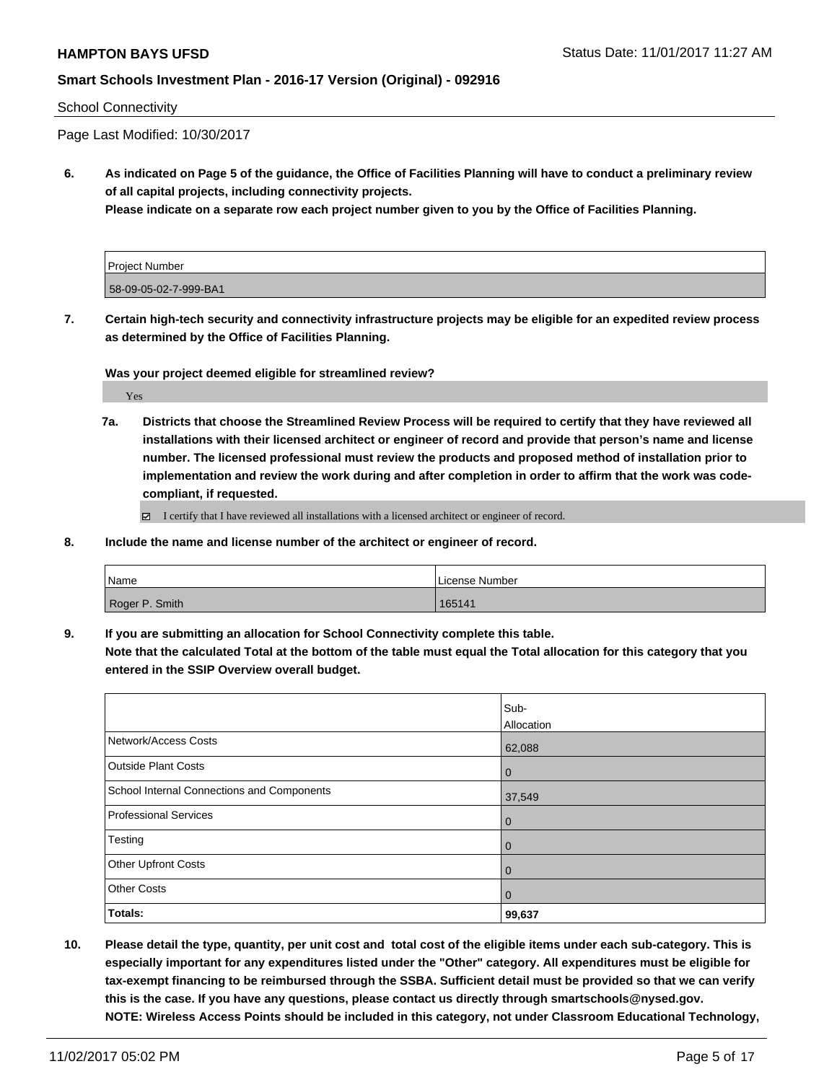#### School Connectivity

Page Last Modified: 10/30/2017

**6. As indicated on Page 5 of the guidance, the Office of Facilities Planning will have to conduct a preliminary review of all capital projects, including connectivity projects.**

**Please indicate on a separate row each project number given to you by the Office of Facilities Planning.**

| <b>Project Number</b> |  |
|-----------------------|--|
| 58-09-05-02-7-999-BA1 |  |

**7. Certain high-tech security and connectivity infrastructure projects may be eligible for an expedited review process as determined by the Office of Facilities Planning.**

**Was your project deemed eligible for streamlined review?**

Yes

**7a. Districts that choose the Streamlined Review Process will be required to certify that they have reviewed all installations with their licensed architect or engineer of record and provide that person's name and license number. The licensed professional must review the products and proposed method of installation prior to implementation and review the work during and after completion in order to affirm that the work was codecompliant, if requested.**

 $\Box$  I certify that I have reviewed all installations with a licensed architect or engineer of record.

**8. Include the name and license number of the architect or engineer of record.**

| Name           | License Number |
|----------------|----------------|
| Roger P. Smith | 165141         |

**9. If you are submitting an allocation for School Connectivity complete this table.**

**Note that the calculated Total at the bottom of the table must equal the Total allocation for this category that you entered in the SSIP Overview overall budget.** 

|                                            | Sub-<br>Allocation |
|--------------------------------------------|--------------------|
| Network/Access Costs                       | 62,088             |
| <b>Outside Plant Costs</b>                 | 0                  |
| School Internal Connections and Components | 37,549             |
| <b>Professional Services</b>               | 0                  |
| Testing                                    | 0                  |
| Other Upfront Costs                        | 0                  |
| <b>Other Costs</b>                         | 0                  |
| Totals:                                    | 99,637             |

**10. Please detail the type, quantity, per unit cost and total cost of the eligible items under each sub-category. This is especially important for any expenditures listed under the "Other" category. All expenditures must be eligible for tax-exempt financing to be reimbursed through the SSBA. Sufficient detail must be provided so that we can verify this is the case. If you have any questions, please contact us directly through smartschools@nysed.gov. NOTE: Wireless Access Points should be included in this category, not under Classroom Educational Technology,**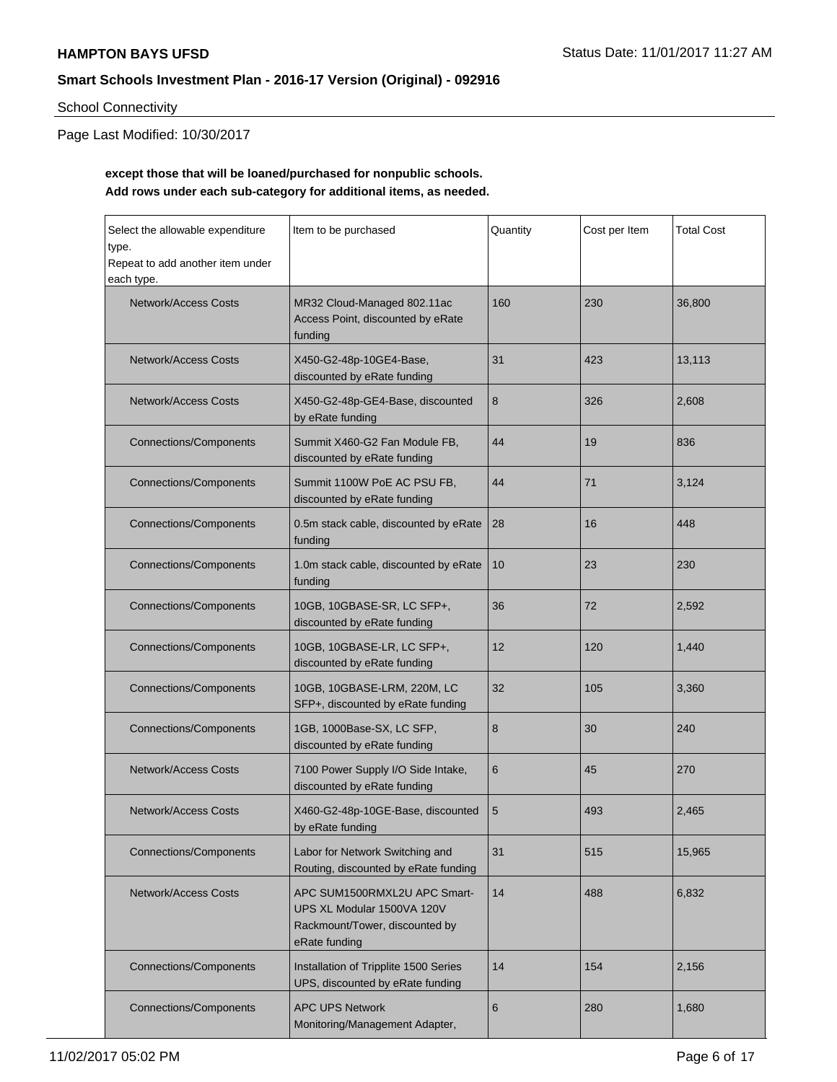# School Connectivity

Page Last Modified: 10/30/2017

# **except those that will be loaned/purchased for nonpublic schools. Add rows under each sub-category for additional items, as needed.**

| Select the allowable expenditure<br>type.<br>Repeat to add another item under<br>each type.                                                  | Item to be purchased                                                               |    | Cost per Item | <b>Total Cost</b> |
|----------------------------------------------------------------------------------------------------------------------------------------------|------------------------------------------------------------------------------------|----|---------------|-------------------|
| <b>Network/Access Costs</b>                                                                                                                  | MR32 Cloud-Managed 802.11ac<br>160<br>Access Point, discounted by eRate<br>funding |    |               | 36,800            |
| <b>Network/Access Costs</b>                                                                                                                  | X450-G2-48p-10GE4-Base,<br>discounted by eRate funding                             | 31 | 423           | 13,113            |
| <b>Network/Access Costs</b>                                                                                                                  | X450-G2-48p-GE4-Base, discounted<br>by eRate funding                               | 8  | 326           | 2,608             |
| <b>Connections/Components</b>                                                                                                                | Summit X460-G2 Fan Module FB,<br>discounted by eRate funding                       | 44 | 19            | 836               |
| <b>Connections/Components</b>                                                                                                                | Summit 1100W PoE AC PSU FB.<br>discounted by eRate funding                         | 44 | 71            | 3,124             |
| <b>Connections/Components</b>                                                                                                                | 0.5m stack cable, discounted by eRate<br>funding                                   | 28 | 16            | 448               |
| <b>Connections/Components</b>                                                                                                                | 1.0m stack cable, discounted by eRate<br>funding                                   | 10 | 23            | 230               |
| <b>Connections/Components</b><br>10GB, 10GBASE-SR, LC SFP+,<br>discounted by eRate funding                                                   |                                                                                    | 36 | 72            | 2,592             |
| <b>Connections/Components</b><br>10GB, 10GBASE-LR, LC SFP+,<br>discounted by eRate funding                                                   |                                                                                    | 12 | 120           | 1,440             |
| <b>Connections/Components</b>                                                                                                                | 10GB, 10GBASE-LRM, 220M, LC<br>32<br>SFP+, discounted by eRate funding             |    | 105           | 3,360             |
| <b>Connections/Components</b>                                                                                                                | 1GB, 1000Base-SX, LC SFP,<br>discounted by eRate funding                           | 8  | 30            | 240               |
| <b>Network/Access Costs</b><br>7100 Power Supply I/O Side Intake,<br>discounted by eRate funding                                             |                                                                                    | 6  | 45            | 270               |
| <b>Network/Access Costs</b>                                                                                                                  | X460-G2-48p-10GE-Base, discounted<br>by eRate funding                              | 5  | 493           | 2,465             |
| <b>Connections/Components</b><br>Labor for Network Switching and<br>Routing, discounted by eRate funding                                     |                                                                                    | 31 | 515           | 15,965            |
| <b>Network/Access Costs</b><br>APC SUM1500RMXL2U APC Smart-<br>UPS XL Modular 1500VA 120V<br>Rackmount/Tower, discounted by<br>eRate funding |                                                                                    | 14 | 488           | 6,832             |
| Installation of Tripplite 1500 Series<br><b>Connections/Components</b><br>UPS, discounted by eRate funding                                   |                                                                                    | 14 | 154           | 2,156             |
| 6<br><b>Connections/Components</b><br><b>APC UPS Network</b><br>Monitoring/Management Adapter,                                               |                                                                                    |    | 280           | 1,680             |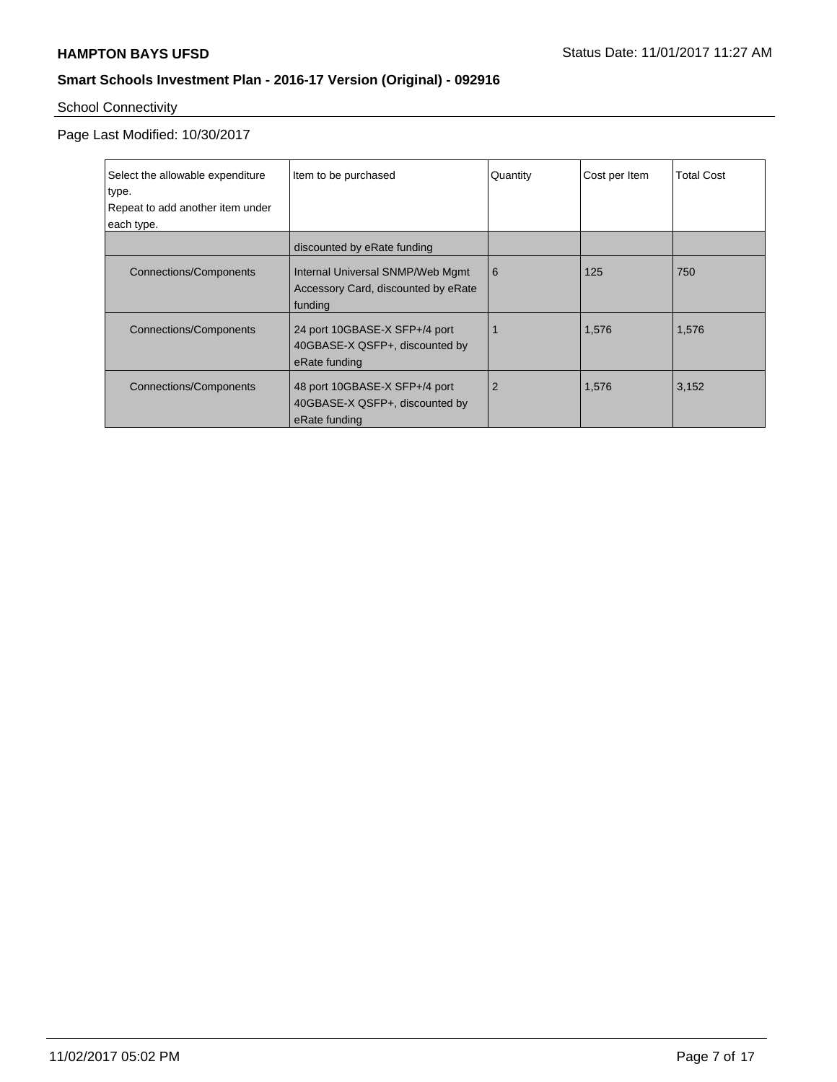# School Connectivity

Page Last Modified: 10/30/2017

| Select the allowable expenditure<br>type.<br>Repeat to add another item under<br>each type. | Item to be purchased                                                               | Quantity | Cost per Item | <b>Total Cost</b> |
|---------------------------------------------------------------------------------------------|------------------------------------------------------------------------------------|----------|---------------|-------------------|
|                                                                                             | discounted by eRate funding                                                        |          |               |                   |
| Connections/Components                                                                      | Internal Universal SNMP/Web Mgmt<br>Accessory Card, discounted by eRate<br>funding | 6        | 125           | 750               |
| <b>Connections/Components</b>                                                               | 24 port 10GBASE-X SFP+/4 port<br>40GBASE-X QSFP+, discounted by<br>eRate funding   |          | 1,576         | 1,576             |
| Connections/Components                                                                      | 48 port 10GBASE-X SFP+/4 port<br>40GBASE-X QSFP+, discounted by<br>eRate funding   | 2        | 1,576         | 3,152             |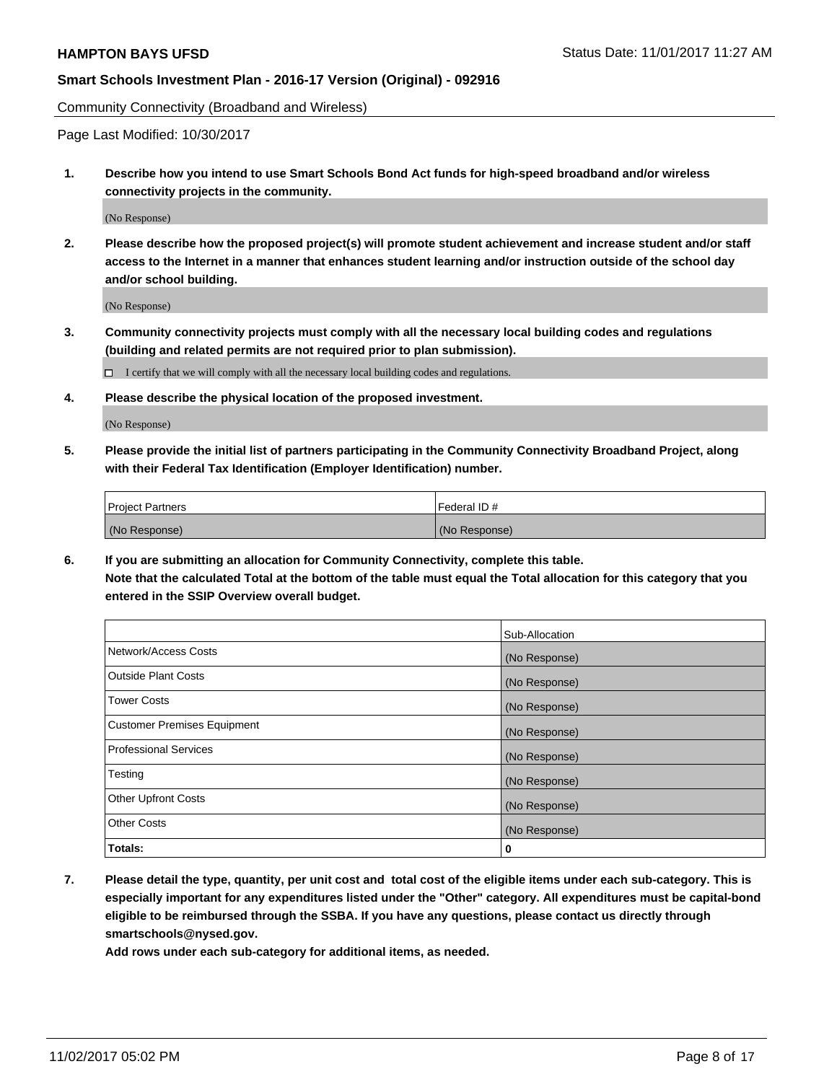Community Connectivity (Broadband and Wireless)

Page Last Modified: 10/30/2017

**1. Describe how you intend to use Smart Schools Bond Act funds for high-speed broadband and/or wireless connectivity projects in the community.**

(No Response)

**2. Please describe how the proposed project(s) will promote student achievement and increase student and/or staff access to the Internet in a manner that enhances student learning and/or instruction outside of the school day and/or school building.**

(No Response)

- **3. Community connectivity projects must comply with all the necessary local building codes and regulations (building and related permits are not required prior to plan submission).**
	- $\Box$  I certify that we will comply with all the necessary local building codes and regulations.
- **4. Please describe the physical location of the proposed investment.**

(No Response)

**5. Please provide the initial list of partners participating in the Community Connectivity Broadband Project, along with their Federal Tax Identification (Employer Identification) number.**

| <b>Project Partners</b> | l Federal ID # |
|-------------------------|----------------|
| (No Response)           | (No Response)  |

**6. If you are submitting an allocation for Community Connectivity, complete this table. Note that the calculated Total at the bottom of the table must equal the Total allocation for this category that you entered in the SSIP Overview overall budget.**

|                                    | Sub-Allocation |
|------------------------------------|----------------|
| Network/Access Costs               | (No Response)  |
| <b>Outside Plant Costs</b>         | (No Response)  |
| <b>Tower Costs</b>                 | (No Response)  |
| <b>Customer Premises Equipment</b> | (No Response)  |
| <b>Professional Services</b>       | (No Response)  |
| Testing                            | (No Response)  |
| <b>Other Upfront Costs</b>         | (No Response)  |
| <b>Other Costs</b>                 | (No Response)  |
| Totals:                            | 0              |

**7. Please detail the type, quantity, per unit cost and total cost of the eligible items under each sub-category. This is especially important for any expenditures listed under the "Other" category. All expenditures must be capital-bond eligible to be reimbursed through the SSBA. If you have any questions, please contact us directly through smartschools@nysed.gov.**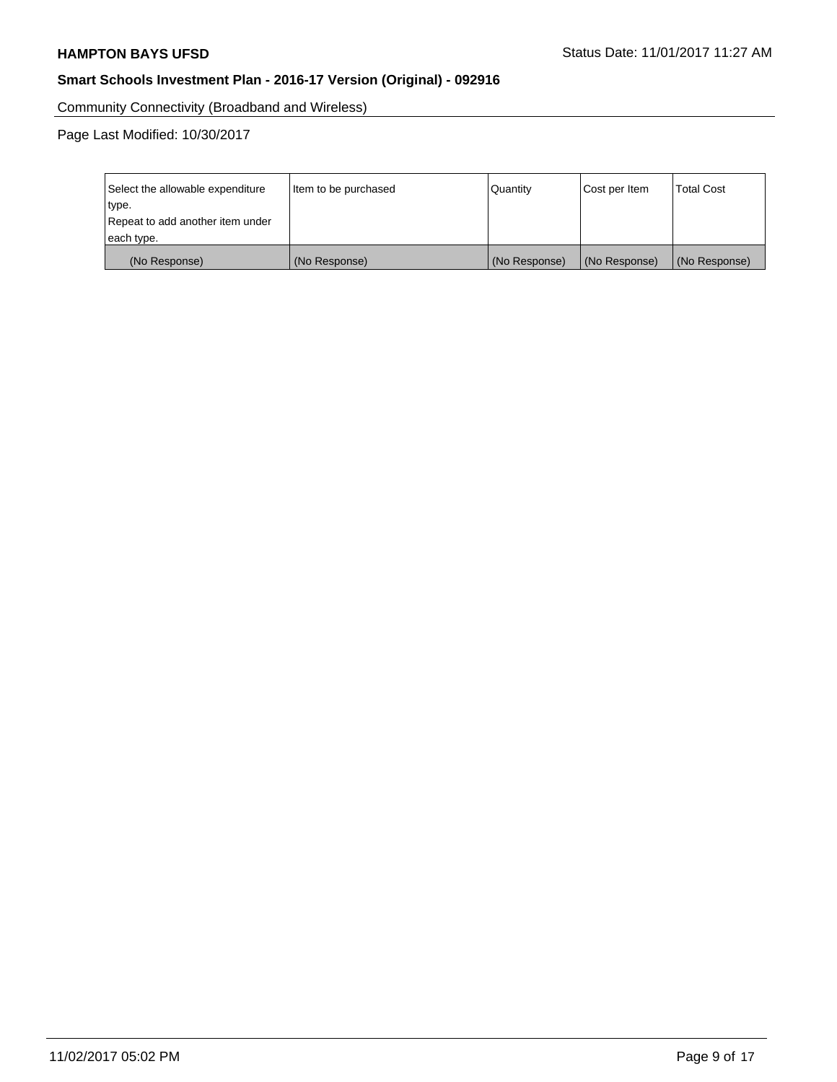Community Connectivity (Broadband and Wireless)

Page Last Modified: 10/30/2017

| Select the allowable expenditure<br>type.<br>Repeat to add another item under | Item to be purchased | Quantity      | Cost per Item | <b>Total Cost</b> |
|-------------------------------------------------------------------------------|----------------------|---------------|---------------|-------------------|
| each type.                                                                    |                      |               |               |                   |
| (No Response)                                                                 | (No Response)        | (No Response) | (No Response) | (No Response)     |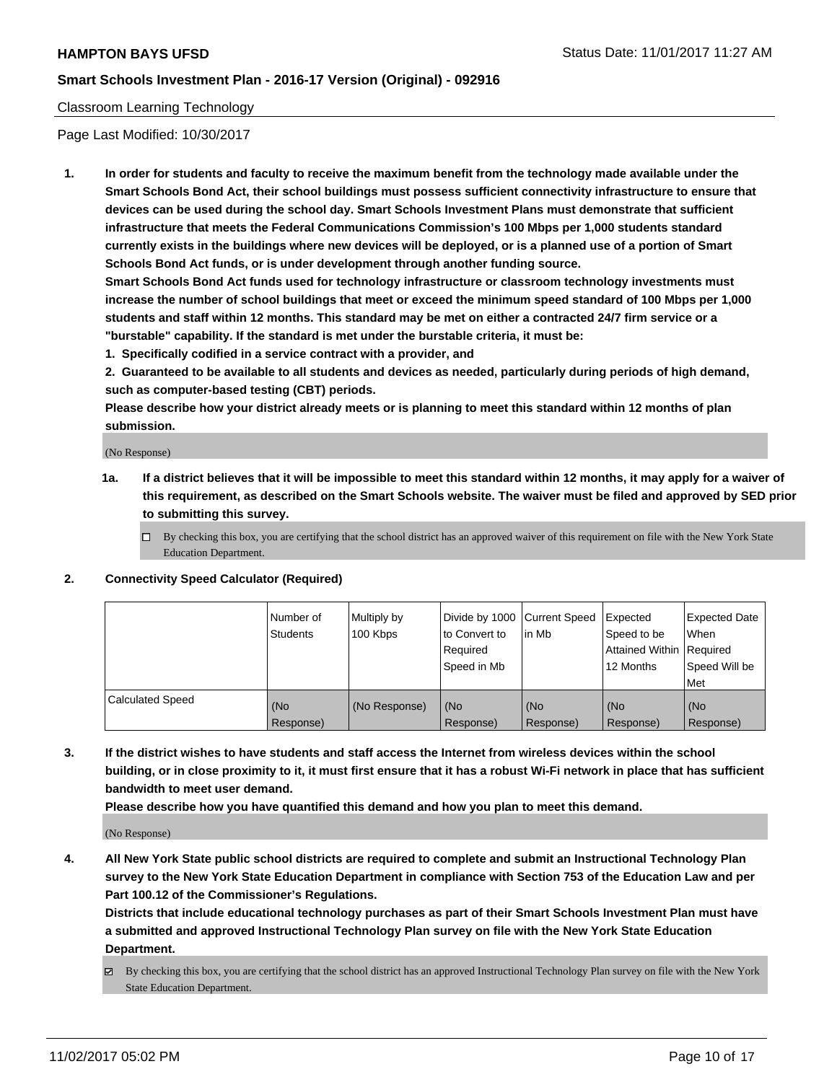#### Classroom Learning Technology

Page Last Modified: 10/30/2017

**1. In order for students and faculty to receive the maximum benefit from the technology made available under the Smart Schools Bond Act, their school buildings must possess sufficient connectivity infrastructure to ensure that devices can be used during the school day. Smart Schools Investment Plans must demonstrate that sufficient infrastructure that meets the Federal Communications Commission's 100 Mbps per 1,000 students standard currently exists in the buildings where new devices will be deployed, or is a planned use of a portion of Smart Schools Bond Act funds, or is under development through another funding source.**

**Smart Schools Bond Act funds used for technology infrastructure or classroom technology investments must increase the number of school buildings that meet or exceed the minimum speed standard of 100 Mbps per 1,000 students and staff within 12 months. This standard may be met on either a contracted 24/7 firm service or a "burstable" capability. If the standard is met under the burstable criteria, it must be:**

**1. Specifically codified in a service contract with a provider, and**

**2. Guaranteed to be available to all students and devices as needed, particularly during periods of high demand, such as computer-based testing (CBT) periods.**

**Please describe how your district already meets or is planning to meet this standard within 12 months of plan submission.**

(No Response)

- **1a. If a district believes that it will be impossible to meet this standard within 12 months, it may apply for a waiver of this requirement, as described on the Smart Schools website. The waiver must be filed and approved by SED prior to submitting this survey.**
	- $\Box$  By checking this box, you are certifying that the school district has an approved waiver of this requirement on file with the New York State Education Department.

#### **2. Connectivity Speed Calculator (Required)**

|                         | Number of<br><b>Students</b> | Multiply by<br>100 Kbps | Divide by 1000 Current Speed<br>to Convert to<br>Required<br>Speed in Mb | in Mb                        | Expected<br>Speed to be<br>Attained Within   Required<br>12 Months | <b>Expected Date</b><br><b>When</b><br>Speed Will be<br>Met |
|-------------------------|------------------------------|-------------------------|--------------------------------------------------------------------------|------------------------------|--------------------------------------------------------------------|-------------------------------------------------------------|
| <b>Calculated Speed</b> | (No<br>Response)             | (No Response)           | l (No<br>Response)                                                       | KN <sub>O</sub><br>Response) | (No<br>Response)                                                   | (No<br>Response)                                            |

**3. If the district wishes to have students and staff access the Internet from wireless devices within the school building, or in close proximity to it, it must first ensure that it has a robust Wi-Fi network in place that has sufficient bandwidth to meet user demand.**

**Please describe how you have quantified this demand and how you plan to meet this demand.**

(No Response)

**4. All New York State public school districts are required to complete and submit an Instructional Technology Plan survey to the New York State Education Department in compliance with Section 753 of the Education Law and per Part 100.12 of the Commissioner's Regulations.**

**Districts that include educational technology purchases as part of their Smart Schools Investment Plan must have a submitted and approved Instructional Technology Plan survey on file with the New York State Education Department.**

By checking this box, you are certifying that the school district has an approved Instructional Technology Plan survey on file with the New York State Education Department.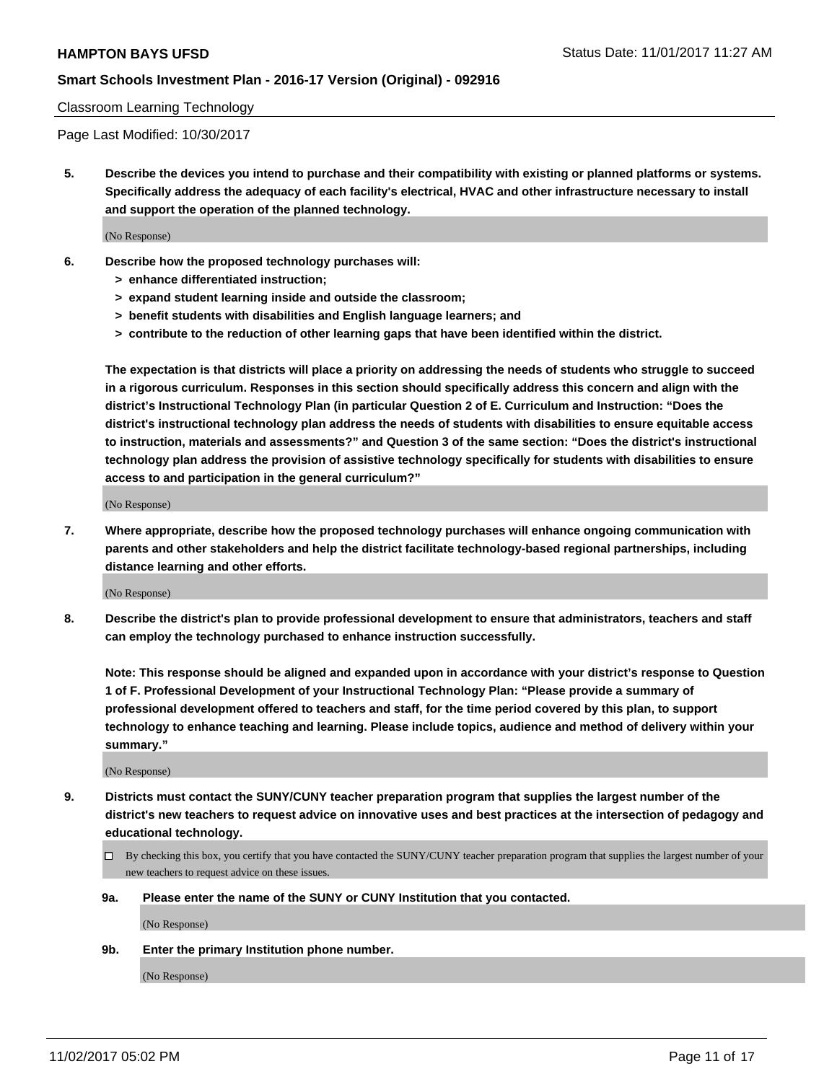#### Classroom Learning Technology

Page Last Modified: 10/30/2017

**5. Describe the devices you intend to purchase and their compatibility with existing or planned platforms or systems. Specifically address the adequacy of each facility's electrical, HVAC and other infrastructure necessary to install and support the operation of the planned technology.**

(No Response)

- **6. Describe how the proposed technology purchases will:**
	- **> enhance differentiated instruction;**
	- **> expand student learning inside and outside the classroom;**
	- **> benefit students with disabilities and English language learners; and**
	- **> contribute to the reduction of other learning gaps that have been identified within the district.**

**The expectation is that districts will place a priority on addressing the needs of students who struggle to succeed in a rigorous curriculum. Responses in this section should specifically address this concern and align with the district's Instructional Technology Plan (in particular Question 2 of E. Curriculum and Instruction: "Does the district's instructional technology plan address the needs of students with disabilities to ensure equitable access to instruction, materials and assessments?" and Question 3 of the same section: "Does the district's instructional technology plan address the provision of assistive technology specifically for students with disabilities to ensure access to and participation in the general curriculum?"**

(No Response)

**7. Where appropriate, describe how the proposed technology purchases will enhance ongoing communication with parents and other stakeholders and help the district facilitate technology-based regional partnerships, including distance learning and other efforts.**

(No Response)

**8. Describe the district's plan to provide professional development to ensure that administrators, teachers and staff can employ the technology purchased to enhance instruction successfully.**

**Note: This response should be aligned and expanded upon in accordance with your district's response to Question 1 of F. Professional Development of your Instructional Technology Plan: "Please provide a summary of professional development offered to teachers and staff, for the time period covered by this plan, to support technology to enhance teaching and learning. Please include topics, audience and method of delivery within your summary."**

(No Response)

- **9. Districts must contact the SUNY/CUNY teacher preparation program that supplies the largest number of the district's new teachers to request advice on innovative uses and best practices at the intersection of pedagogy and educational technology.**
	- By checking this box, you certify that you have contacted the SUNY/CUNY teacher preparation program that supplies the largest number of your new teachers to request advice on these issues.
	- **9a. Please enter the name of the SUNY or CUNY Institution that you contacted.**

(No Response)

**9b. Enter the primary Institution phone number.**

(No Response)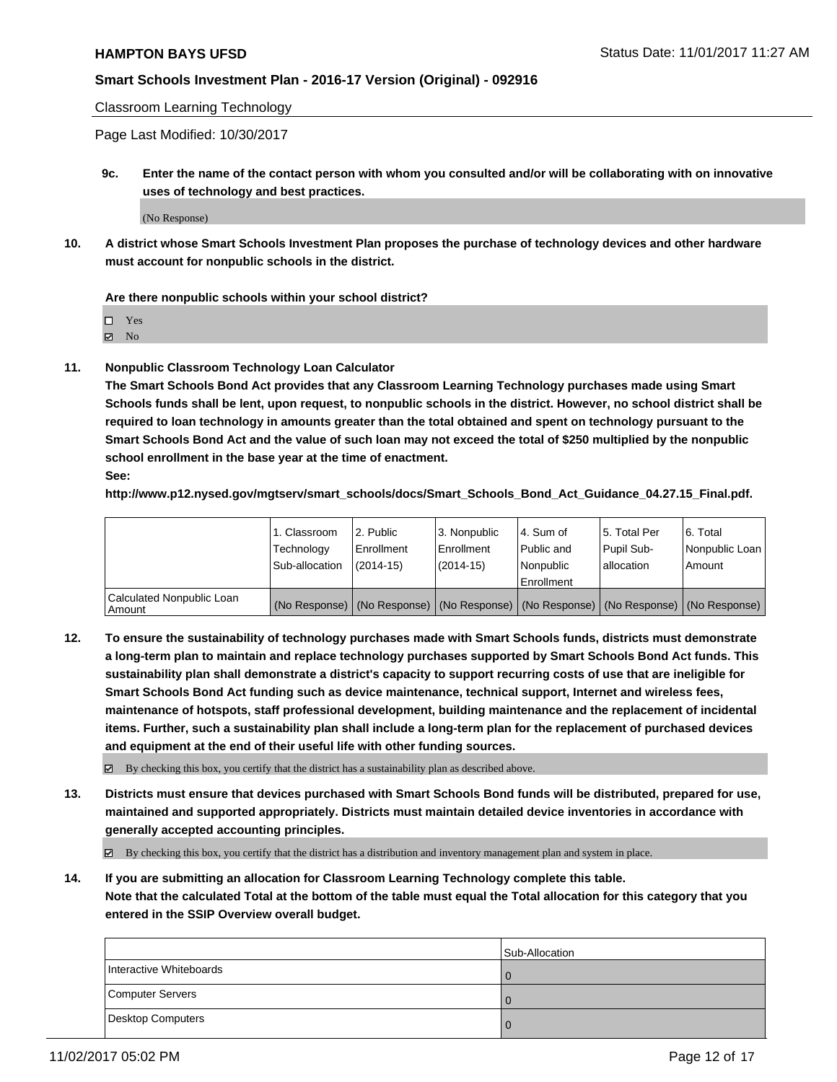Classroom Learning Technology

Page Last Modified: 10/30/2017

**9c. Enter the name of the contact person with whom you consulted and/or will be collaborating with on innovative uses of technology and best practices.**

(No Response)

**10. A district whose Smart Schools Investment Plan proposes the purchase of technology devices and other hardware must account for nonpublic schools in the district.**

**Are there nonpublic schools within your school district?**

Yes

 $\boxtimes$  No

**11. Nonpublic Classroom Technology Loan Calculator**

**The Smart Schools Bond Act provides that any Classroom Learning Technology purchases made using Smart Schools funds shall be lent, upon request, to nonpublic schools in the district. However, no school district shall be required to loan technology in amounts greater than the total obtained and spent on technology pursuant to the Smart Schools Bond Act and the value of such loan may not exceed the total of \$250 multiplied by the nonpublic school enrollment in the base year at the time of enactment.**

**See:**

**http://www.p12.nysed.gov/mgtserv/smart\_schools/docs/Smart\_Schools\_Bond\_Act\_Guidance\_04.27.15\_Final.pdf.**

|                                       | 1. Classroom   | 2. Public     | 3. Nonpublic | 14. Sum of  | 15. Total Per | l 6. Total                                                                                    |
|---------------------------------------|----------------|---------------|--------------|-------------|---------------|-----------------------------------------------------------------------------------------------|
|                                       | Technology     | Enrollment    | Enrollment   | Public and  | Pupil Sub-    | Nonpublic Loan                                                                                |
|                                       | Sub-allocation | $(2014 - 15)$ | (2014-15)    | l Nonpublic | allocation    | Amount                                                                                        |
|                                       |                |               |              | Enrollment  |               |                                                                                               |
| Calculated Nonpublic Loan<br>  Amount |                |               |              |             |               | (No Response)   (No Response)   (No Response)   (No Response)   (No Response)   (No Response) |

**12. To ensure the sustainability of technology purchases made with Smart Schools funds, districts must demonstrate a long-term plan to maintain and replace technology purchases supported by Smart Schools Bond Act funds. This sustainability plan shall demonstrate a district's capacity to support recurring costs of use that are ineligible for Smart Schools Bond Act funding such as device maintenance, technical support, Internet and wireless fees, maintenance of hotspots, staff professional development, building maintenance and the replacement of incidental items. Further, such a sustainability plan shall include a long-term plan for the replacement of purchased devices and equipment at the end of their useful life with other funding sources.**

 $\boxtimes$  By checking this box, you certify that the district has a sustainability plan as described above.

**13. Districts must ensure that devices purchased with Smart Schools Bond funds will be distributed, prepared for use, maintained and supported appropriately. Districts must maintain detailed device inventories in accordance with generally accepted accounting principles.**

By checking this box, you certify that the district has a distribution and inventory management plan and system in place.

**14. If you are submitting an allocation for Classroom Learning Technology complete this table. Note that the calculated Total at the bottom of the table must equal the Total allocation for this category that you entered in the SSIP Overview overall budget.**

|                         | Sub-Allocation |
|-------------------------|----------------|
| Interactive Whiteboards | l O            |
| Computer Servers        | ıо             |
| Desktop Computers       | l 0            |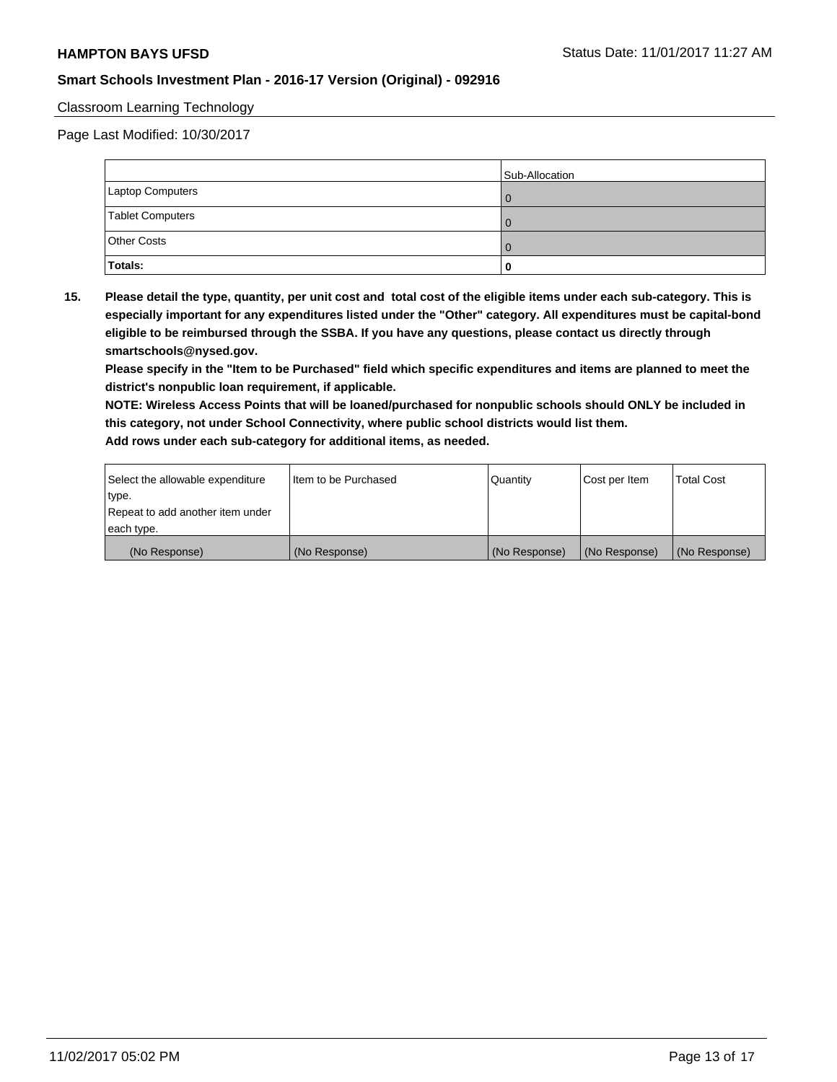#### Classroom Learning Technology

Page Last Modified: 10/30/2017

|                         | Sub-Allocation |
|-------------------------|----------------|
| <b>Laptop Computers</b> |                |
| Tablet Computers        |                |
| <b>Other Costs</b>      |                |
| <b>Totals:</b>          |                |

**15. Please detail the type, quantity, per unit cost and total cost of the eligible items under each sub-category. This is especially important for any expenditures listed under the "Other" category. All expenditures must be capital-bond eligible to be reimbursed through the SSBA. If you have any questions, please contact us directly through smartschools@nysed.gov.**

**Please specify in the "Item to be Purchased" field which specific expenditures and items are planned to meet the district's nonpublic loan requirement, if applicable.**

**NOTE: Wireless Access Points that will be loaned/purchased for nonpublic schools should ONLY be included in this category, not under School Connectivity, where public school districts would list them. Add rows under each sub-category for additional items, as needed.**

| Select the allowable expenditure | I Item to be Purchased | Quantity      | Cost per Item   | <b>Total Cost</b> |
|----------------------------------|------------------------|---------------|-----------------|-------------------|
| type.                            |                        |               |                 |                   |
| Repeat to add another item under |                        |               |                 |                   |
| each type.                       |                        |               |                 |                   |
| (No Response)                    | (No Response)          | (No Response) | l (No Response) | (No Response)     |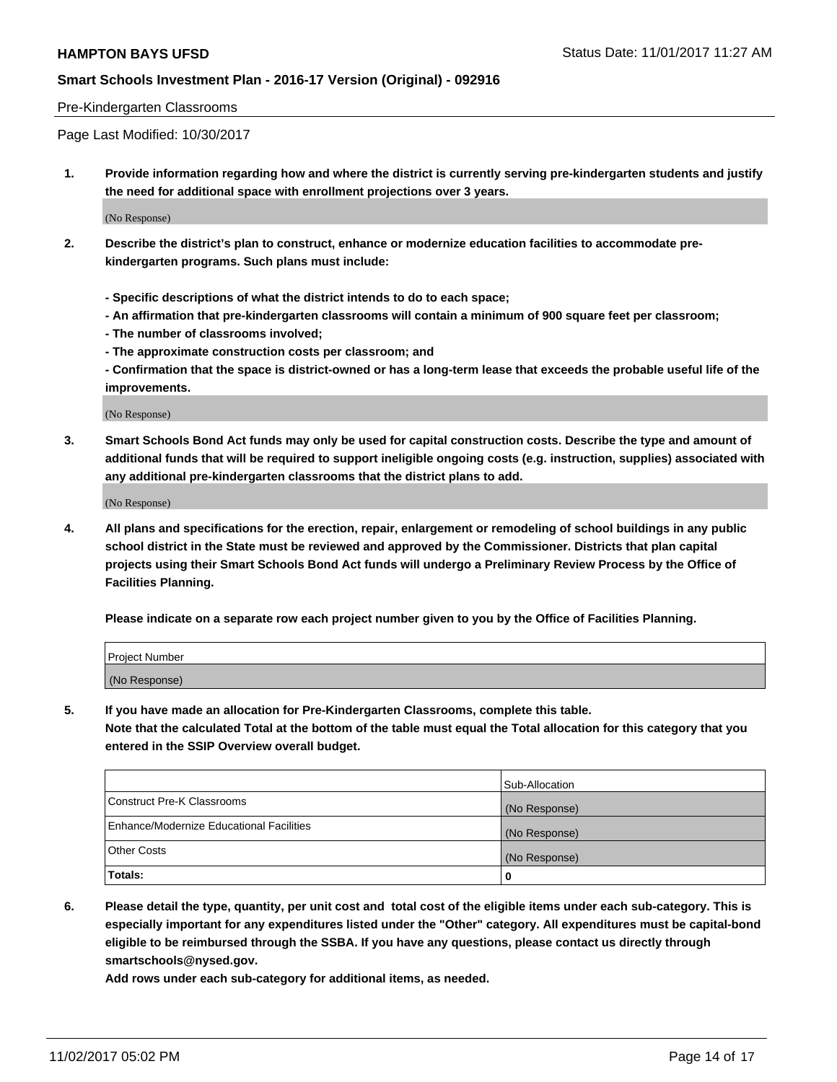#### Pre-Kindergarten Classrooms

Page Last Modified: 10/30/2017

**1. Provide information regarding how and where the district is currently serving pre-kindergarten students and justify the need for additional space with enrollment projections over 3 years.**

(No Response)

- **2. Describe the district's plan to construct, enhance or modernize education facilities to accommodate prekindergarten programs. Such plans must include:**
	- **Specific descriptions of what the district intends to do to each space;**
	- **An affirmation that pre-kindergarten classrooms will contain a minimum of 900 square feet per classroom;**
	- **The number of classrooms involved;**
	- **The approximate construction costs per classroom; and**
	- **Confirmation that the space is district-owned or has a long-term lease that exceeds the probable useful life of the improvements.**

(No Response)

**3. Smart Schools Bond Act funds may only be used for capital construction costs. Describe the type and amount of additional funds that will be required to support ineligible ongoing costs (e.g. instruction, supplies) associated with any additional pre-kindergarten classrooms that the district plans to add.**

(No Response)

**4. All plans and specifications for the erection, repair, enlargement or remodeling of school buildings in any public school district in the State must be reviewed and approved by the Commissioner. Districts that plan capital projects using their Smart Schools Bond Act funds will undergo a Preliminary Review Process by the Office of Facilities Planning.**

**Please indicate on a separate row each project number given to you by the Office of Facilities Planning.**

| Project Number |  |
|----------------|--|
| (No Response)  |  |

**5. If you have made an allocation for Pre-Kindergarten Classrooms, complete this table.**

**Note that the calculated Total at the bottom of the table must equal the Total allocation for this category that you entered in the SSIP Overview overall budget.**

|                                          | Sub-Allocation |
|------------------------------------------|----------------|
| Construct Pre-K Classrooms               | (No Response)  |
| Enhance/Modernize Educational Facilities | (No Response)  |
| <b>Other Costs</b>                       | (No Response)  |
| <b>Totals:</b>                           | 0              |

**6. Please detail the type, quantity, per unit cost and total cost of the eligible items under each sub-category. This is especially important for any expenditures listed under the "Other" category. All expenditures must be capital-bond eligible to be reimbursed through the SSBA. If you have any questions, please contact us directly through smartschools@nysed.gov.**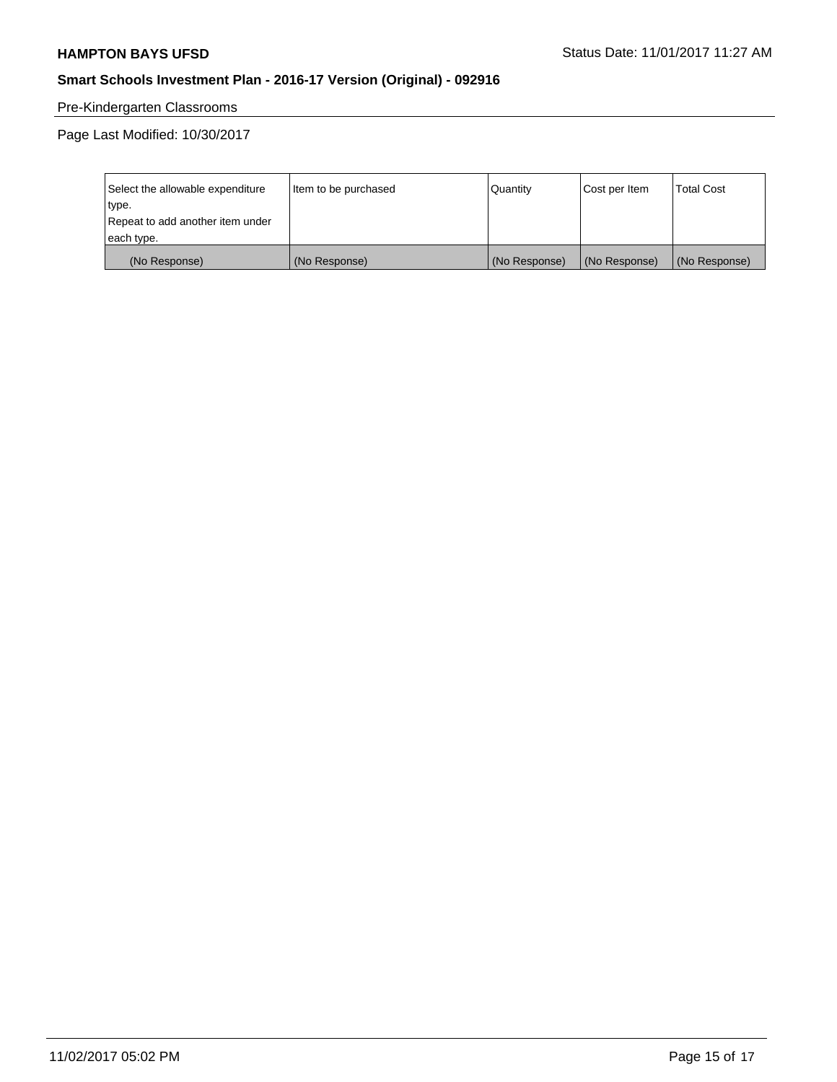# Pre-Kindergarten Classrooms

Page Last Modified: 10/30/2017

| Select the allowable expenditure | Item to be purchased | Quantity      | Cost per Item | <b>Total Cost</b> |
|----------------------------------|----------------------|---------------|---------------|-------------------|
| type.                            |                      |               |               |                   |
| Repeat to add another item under |                      |               |               |                   |
| each type.                       |                      |               |               |                   |
| (No Response)                    | (No Response)        | (No Response) | (No Response) | (No Response)     |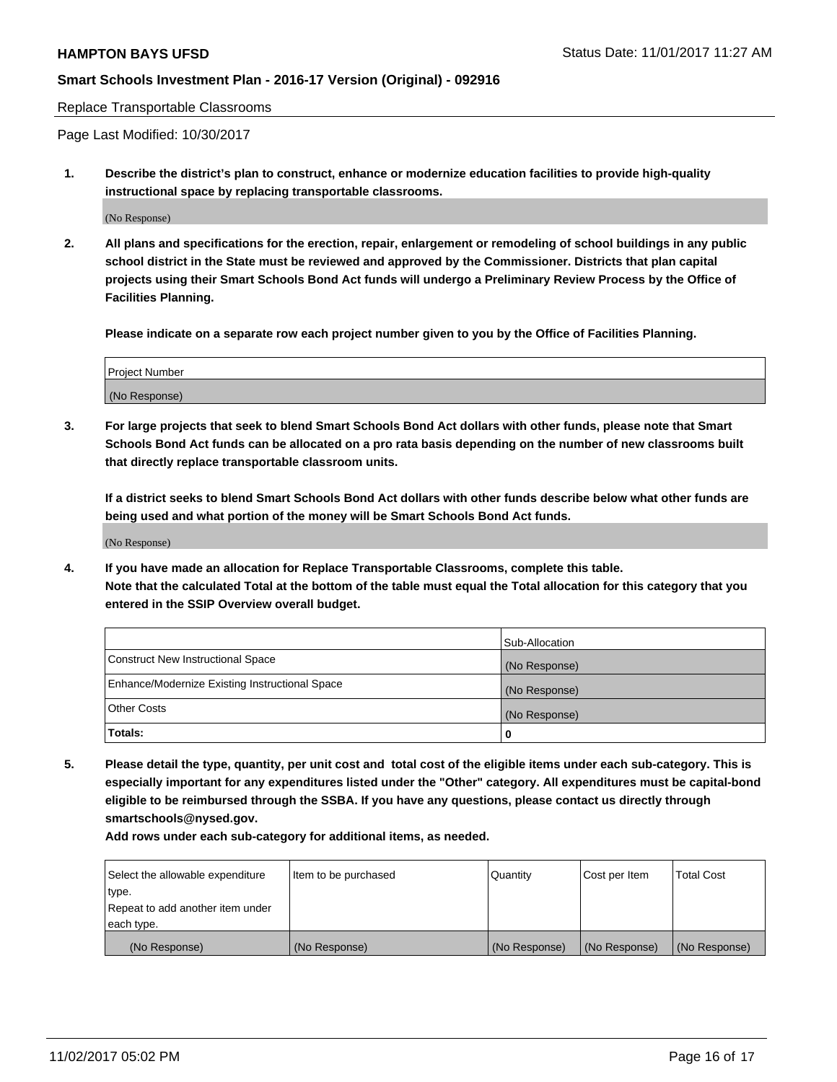Replace Transportable Classrooms

Page Last Modified: 10/30/2017

**1. Describe the district's plan to construct, enhance or modernize education facilities to provide high-quality instructional space by replacing transportable classrooms.**

(No Response)

**2. All plans and specifications for the erection, repair, enlargement or remodeling of school buildings in any public school district in the State must be reviewed and approved by the Commissioner. Districts that plan capital projects using their Smart Schools Bond Act funds will undergo a Preliminary Review Process by the Office of Facilities Planning.**

**Please indicate on a separate row each project number given to you by the Office of Facilities Planning.**

| <b>Project Number</b> |  |
|-----------------------|--|
| (No Response)         |  |

**3. For large projects that seek to blend Smart Schools Bond Act dollars with other funds, please note that Smart Schools Bond Act funds can be allocated on a pro rata basis depending on the number of new classrooms built that directly replace transportable classroom units.**

**If a district seeks to blend Smart Schools Bond Act dollars with other funds describe below what other funds are being used and what portion of the money will be Smart Schools Bond Act funds.**

(No Response)

**4. If you have made an allocation for Replace Transportable Classrooms, complete this table. Note that the calculated Total at the bottom of the table must equal the Total allocation for this category that you entered in the SSIP Overview overall budget.**

|                                                | Sub-Allocation |
|------------------------------------------------|----------------|
| Construct New Instructional Space              | (No Response)  |
| Enhance/Modernize Existing Instructional Space | (No Response)  |
| <b>Other Costs</b>                             | (No Response)  |
| Totals:                                        | 0              |

**5. Please detail the type, quantity, per unit cost and total cost of the eligible items under each sub-category. This is especially important for any expenditures listed under the "Other" category. All expenditures must be capital-bond eligible to be reimbursed through the SSBA. If you have any questions, please contact us directly through smartschools@nysed.gov.**

| Select the allowable expenditure<br>type.<br>Repeat to add another item under<br>each type. | Item to be purchased | Quantity      | Cost per Item | <b>Total Cost</b> |
|---------------------------------------------------------------------------------------------|----------------------|---------------|---------------|-------------------|
|                                                                                             |                      |               |               |                   |
| (No Response)                                                                               | (No Response)        | (No Response) | (No Response) | (No Response)     |